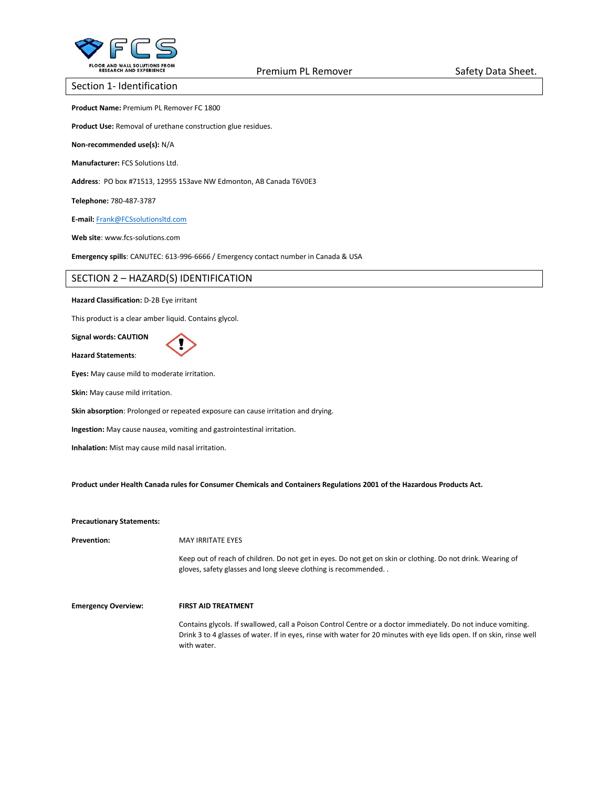

Section 1- Identification

**Product Name:** Premium PL Remover FC 1800

**Product Use:** Removal of urethane construction glue residues.

**Non-recommended use(s):** N/A

**Manufacturer:** FCS Solutions Ltd.

**Address**: PO box #71513, 12955 153ave NW Edmonton, AB Canada T6V0E3

**Telephone:** 780-487-3787

**E-mail:** [Frank@FCSsolutionsltd.com](mailto:Frank@FCSsolutionsltd.com)

**Web site**: www.fcs-solutions.com

**Emergency spills**: CANUTEC: 613-996-6666 / Emergency contact number in Canada & USA

# SECTION 2 – HAZARD(S) IDENTIFICATION

**Hazard Classification:** D-2B Eye irritant

This product is a clear amber liquid. Contains glycol.

**Signal words: CAUTION** 

**Hazard Statements**:

**Eyes:** May cause mild to moderate irritation.

**Skin:** May cause mild irritation.

**Skin absorption**: Prolonged or repeated exposure can cause irritation and drying.

**Ingestion:** May cause nausea, vomiting and gastrointestinal irritation.

**Inhalation:** Mist may cause mild nasal irritation.

**Product under Health Canada rules for Consumer Chemicals and Containers Regulations 2001 of the Hazardous Products Act.** 

#### **Precautionary Statements:**

**Prevention:** MAY IRRITATE EYES Keep out of reach of children. Do not get in eyes. Do not get on skin or clothing. Do not drink. Wearing of gloves, safety glasses and long sleeve clothing is recommended. .

**Emergency Overview: FIRST AID TREATMENT**  Contains glycols. If swallowed, call a Poison Control Centre or a doctor immediately. Do not induce vomiting. Drink 3 to 4 glasses of water. If in eyes, rinse with water for 20 minutes with eye lids open. If on skin, rinse well with water.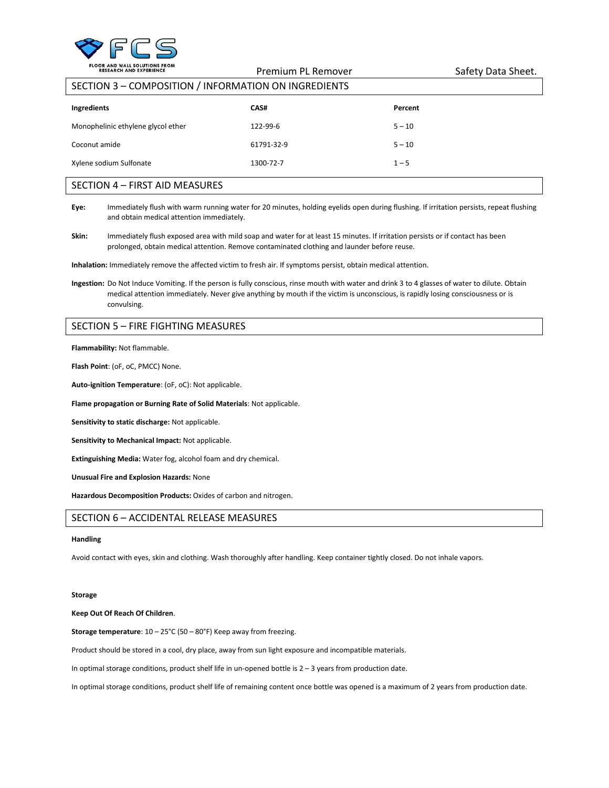

Premium PL Remover Safety Data Sheet.

# SECTION 3 – COMPOSITION / INFORMATION ON INGREDIENTS

| Ingredients                        | CAS#       | Percent  |
|------------------------------------|------------|----------|
| Monophelinic ethylene glycol ether | 122-99-6   | $5 - 10$ |
| Coconut amide                      | 61791-32-9 | $5 - 10$ |
| Xylene sodium Sulfonate            | 1300-72-7  | $1 - 5$  |

# SECTION 4 – FIRST AID MEASURES

**Eye:** Immediately flush with warm running water for 20 minutes, holding eyelids open during flushing. If irritation persists, repeat flushing and obtain medical attention immediately.

**Skin:** Immediately flush exposed area with mild soap and water for at least 15 minutes. If irritation persists or if contact has been prolonged, obtain medical attention. Remove contaminated clothing and launder before reuse.

**Inhalation:** Immediately remove the affected victim to fresh air. If symptoms persist, obtain medical attention.

**Ingestion:** Do Not Induce Vomiting. If the person is fully conscious, rinse mouth with water and drink 3 to 4 glasses of water to dilute. Obtain medical attention immediately. Never give anything by mouth if the victim is unconscious, is rapidly losing consciousness or is convulsing.

# SECTION 5 – FIRE FIGHTING MEASURES

**Flammability:** Not flammable.

**Flash Point**: (oF, oC, PMCC) None.

**Auto-ignition Temperature**: (oF, oC): Not applicable.

**Flame propagation or Burning Rate of Solid Materials**: Not applicable.

**Sensitivity to static discharge:** Not applicable.

**Sensitivity to Mechanical Impact:** Not applicable.

**Extinguishing Media:** Water fog, alcohol foam and dry chemical.

**Unusual Fire and Explosion Hazards:** None

**Hazardous Decomposition Products:** Oxides of carbon and nitrogen.

## SECTION 6 – ACCIDENTAL RELEASE MEASURES

#### **Handling**

Avoid contact with eyes, skin and clothing. Wash thoroughly after handling. Keep container tightly closed. Do not inhale vapors.

#### **Storage**

#### **Keep Out Of Reach Of Children**.

**Storage temperature**: 10 – 25°C (50 – 80°F) Keep away from freezing.

Product should be stored in a cool, dry place, away from sun light exposure and incompatible materials.

In optimal storage conditions, product shelf life in un-opened bottle is 2 – 3 years from production date.

In optimal storage conditions, product shelf life of remaining content once bottle was opened is a maximum of 2 years from production date.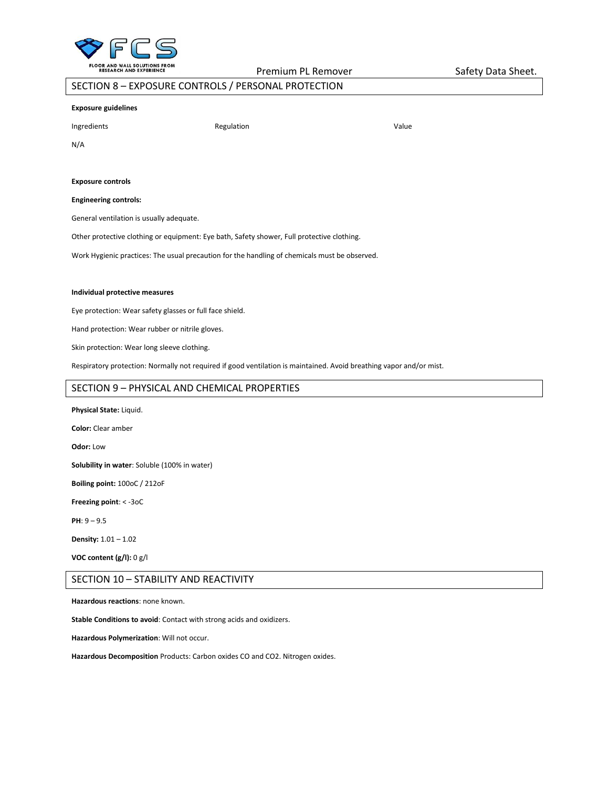

Premium PL Remover Safety Data Sheet.

# SECTION 8 – EXPOSURE CONTROLS / PERSONAL PROTECTION

| <b>Exposure guidelines</b> |
|----------------------------|
|----------------------------|

| Ingredients | Regulation | Value |
|-------------|------------|-------|

N/A

### **Exposure controls**

**Engineering controls:** 

General ventilation is usually adequate.

Other protective clothing or equipment: Eye bath, Safety shower, Full protective clothing.

Work Hygienic practices: The usual precaution for the handling of chemicals must be observed.

### **Individual protective measures**

Eye protection: Wear safety glasses or full face shield.

Hand protection: Wear rubber or nitrile gloves.

Skin protection: Wear long sleeve clothing.

Respiratory protection: Normally not required if good ventilation is maintained. Avoid breathing vapor and/or mist.

## SECTION 9 – PHYSICAL AND CHEMICAL PROPERTIES

**Physical State:** Liquid.

**Color:** Clear amber

**Odor:** Low

**Solubility in water**: Soluble (100% in water)

**Boiling point:** 100oC / 212oF

**Freezing point**: < -3oC

**PH**: 9 – 9.5

**Density:** 1.01 – 1.02

**VOC content (g/l):** 0 g/l

# SECTION 10 – STABILITY AND REACTIVITY

**Hazardous reactions**: none known.

**Stable Conditions to avoid**: Contact with strong acids and oxidizers.

**Hazardous Polymerization**: Will not occur.

**Hazardous Decomposition** Products: Carbon oxides CO and CO2. Nitrogen oxides.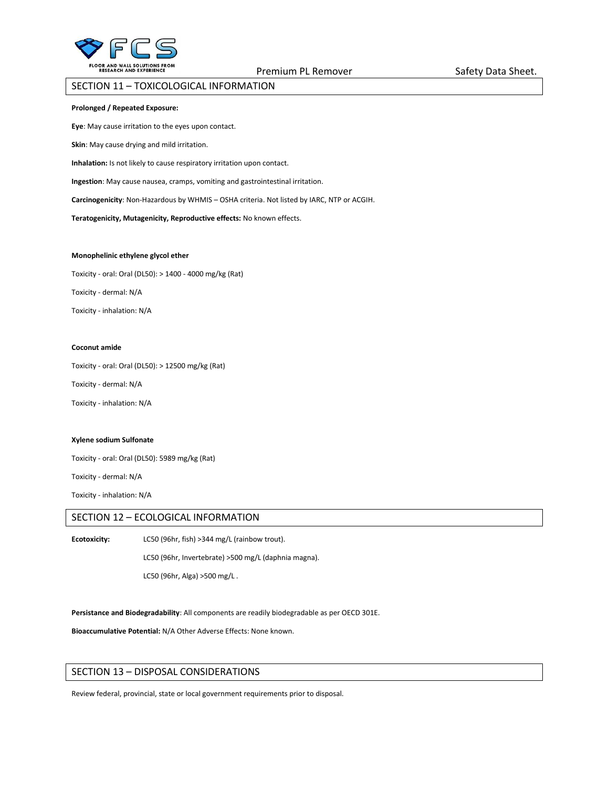

Premium PL Remover Safety Data Sheet.

## SECTION 11 – TOXICOLOGICAL INFORMATION

#### **Prolonged / Repeated Exposure:**

**Eye**: May cause irritation to the eyes upon contact.

**Skin**: May cause drying and mild irritation.

**Inhalation:** Is not likely to cause respiratory irritation upon contact.

**Ingestion**: May cause nausea, cramps, vomiting and gastrointestinal irritation.

**Carcinogenicity**: Non-Hazardous by WHMIS – OSHA criteria. Not listed by IARC, NTP or ACGIH.

**Teratogenicity, Mutagenicity, Reproductive effects:** No known effects.

## **Monophelinic ethylene glycol ether**

Toxicity - oral: Oral (DL50): > 1400 - 4000 mg/kg (Rat) Toxicity - dermal: N/A Toxicity - inhalation: N/A

#### **Coconut amide**

Toxicity - oral: Oral (DL50): > 12500 mg/kg (Rat)

Toxicity - dermal: N/A

Toxicity - inhalation: N/A

#### **Xylene sodium Sulfonate**

Toxicity - oral: Oral (DL50): 5989 mg/kg (Rat)

Toxicity - dermal: N/A

Toxicity - inhalation: N/A

## SECTION 12 – ECOLOGICAL INFORMATION

**Ecotoxicity:** LC50 (96hr, fish) >344 mg/L (rainbow trout).

LC50 (96hr, Invertebrate) >500 mg/L (daphnia magna).

LC50 (96hr, Alga) >500 mg/L .

**Persistance and Biodegradability**: All components are readily biodegradable as per OECD 301E.

**Bioaccumulative Potential:** N/A Other Adverse Effects: None known.

# SECTION 13 – DISPOSAL CONSIDERATIONS

Review federal, provincial, state or local government requirements prior to disposal.